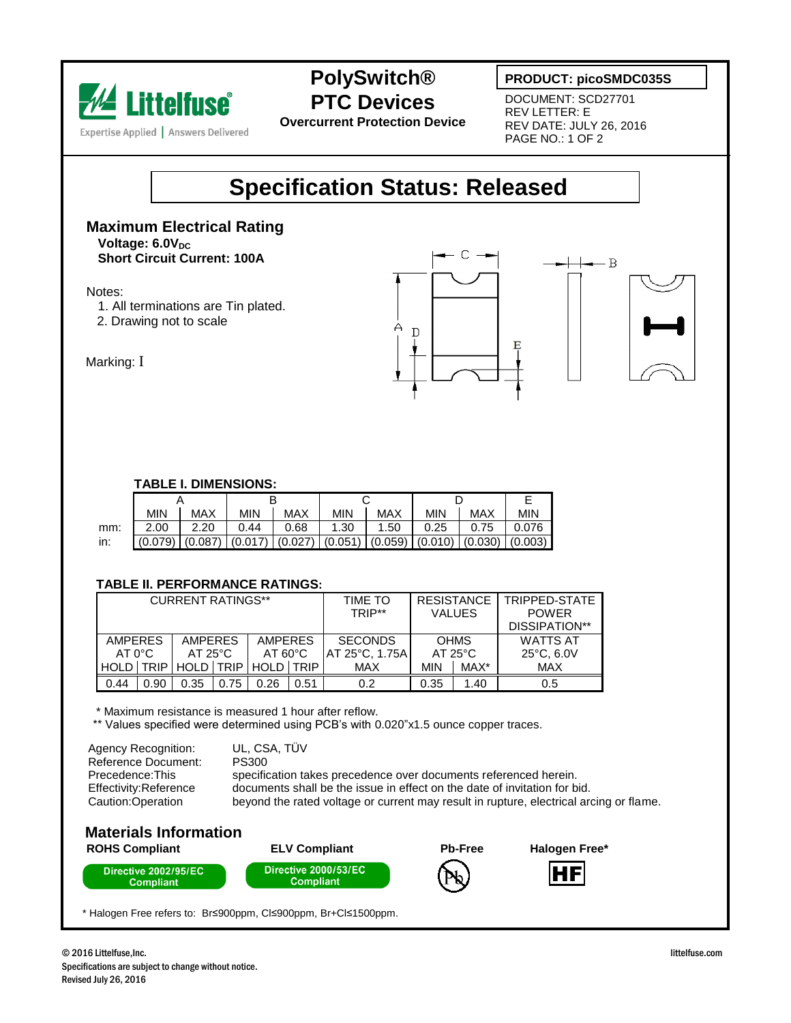

**PolySwitch® PTC Devices**

**Overcurrent Protection Device**

### **PRODUCT: picoSMDC035S**

DOCUMENT: SCD27701 REV LETTER: E REV DATE: JULY 26, 2016 PAGE NO.: 1 OF 2

## **Specification Status: Released**

#### **Maximum Electrical Rating Voltage: 6.0V**<sub>DC</sub> **Short Circuit Current: 100A**

Notes:

- 1. All terminations are Tin plated.
- 2. Drawing not to scale





Marking: I

#### **TABLE I. DIMENSIONS:**

|     | <b>MIN</b> | <b>MAX</b> | <b>MIN</b> | <b>MAX</b>                                                                 | <b>MIN</b> | MAX  | <b>MIN</b> | MAX  | <b>MIN</b> |
|-----|------------|------------|------------|----------------------------------------------------------------------------|------------|------|------------|------|------------|
| mm: | 2.00       | 2.20       | 0.44       | 0.68                                                                       | 1.30       | 1.50 | 0.25       | 0.75 | 0.076      |
| in: |            |            |            | $ (0.079) (0.087) (0.017) (0.027) (0.051) (0.059) (0.010) (0.030) (0.003)$ |            |      |            |      |            |

#### **TABLE II. PERFORMANCE RATINGS:**

| <b>CURRENT RATINGS**</b> |             |                  |      |                     |      | TIME TO<br>TRIP** | <b>RESISTANCE</b><br><b>VALUES</b> |      | TRIPPED-STATE<br><b>POWER</b> |  |
|--------------------------|-------------|------------------|------|---------------------|------|-------------------|------------------------------------|------|-------------------------------|--|
|                          |             |                  |      |                     |      |                   |                                    |      | DISSIPATION**                 |  |
| <b>AMPERES</b>           |             | <b>AMPERES</b>   |      | <b>AMPERES</b>      |      | <b>SECONDS</b>    | <b>OHMS</b>                        |      | <b>WATTS AT</b>               |  |
| $AT 0^{\circ}C$          |             | $AT 25^{\circ}C$ |      | $AT 60^{\circ}$ C   |      | IAT 25°C. 1.75A   | $AT 25^{\circ}C$                   |      | $25^{\circ}$ C, 6.0V          |  |
| <b>HOLD</b>              | <b>TRIP</b> |                  |      | HOLD TRIP HOLD TRIP |      | <b>MAX</b>        | MIN                                | MAX* | MAX                           |  |
| 0.44                     | 0.90        | 0.35             | 0.75 | 0.26                | 0.51 | 0.2               | 0.35                               | 1.40 | 0.5                           |  |

\* Maximum resistance is measured 1 hour after reflow.

\*\* Values specified were determined using PCB's with 0.020"x1.5 ounce copper traces.

| Agency Recognition:                                           | UL. CSA. TUV                                                                                                                                                                                                                            |
|---------------------------------------------------------------|-----------------------------------------------------------------------------------------------------------------------------------------------------------------------------------------------------------------------------------------|
| Reference Document:                                           | <b>PS300</b>                                                                                                                                                                                                                            |
| Precedence:This<br>Effectivity:Reference<br>Caution:Operation | specification takes precedence over documents referenced herein.<br>documents shall be the issue in effect on the date of invitation for bid.<br>beyond the rated voltage or current may result in rupture, electrical arcing or flame. |

#### **Materials Information ROHS Compliant ELV Compliant Pb-Free Halogen Free\***









\* Halogen Free refers to: Br≤900ppm, Cl≤900ppm, Br+Cl≤1500ppm.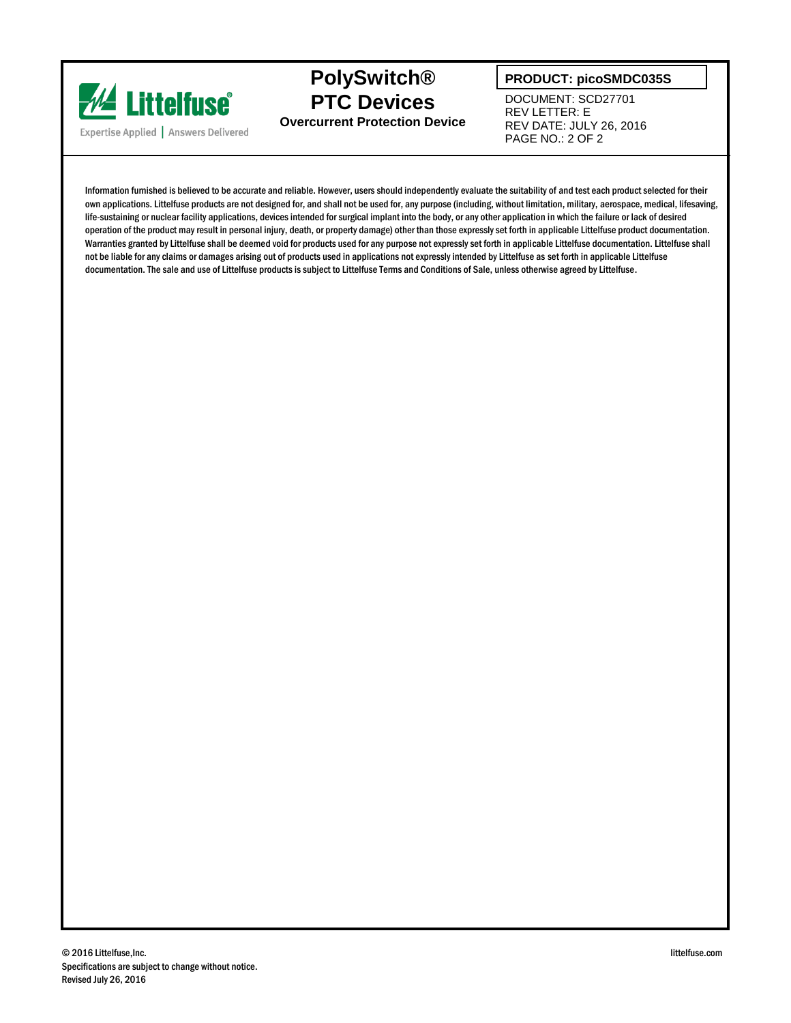

### **PolySwitch® PTC Devices Overcurrent Protection Device**

**PRODUCT: picoSMDC035S**

DOCUMENT: SCD27701 REV LETTER: E REV DATE: JULY 26, 2016 PAGE NO.: 2 OF 2

Information furnished is believed to be accurate and reliable. However, users should independently evaluate the suitability of and test each product selected for their own applications. Littelfuse products are not designed for, and shall not be used for, any purpose (including, without limitation, military, aerospace, medical, lifesaving, life-sustaining or nuclear facility applications, devices intended for surgical implant into the body, or any other application in which the failure or lack of desired operation of the product may result in personal injury, death, or property damage) other than those expressly set forth in applicable Littelfuse product documentation. Warranties granted by Littelfuse shall be deemed void for products used for any purpose not expressly set forth in applicable Littelfuse documentation. Littelfuse shall not be liable for any claims or damages arising out of products used in applications not expressly intended by Littelfuse as set forth in applicable Littelfuse documentation. The sale and use of Littelfuse products is subject to Littelfuse Terms and Conditions of Sale, unless otherwise agreed by Littelfuse.